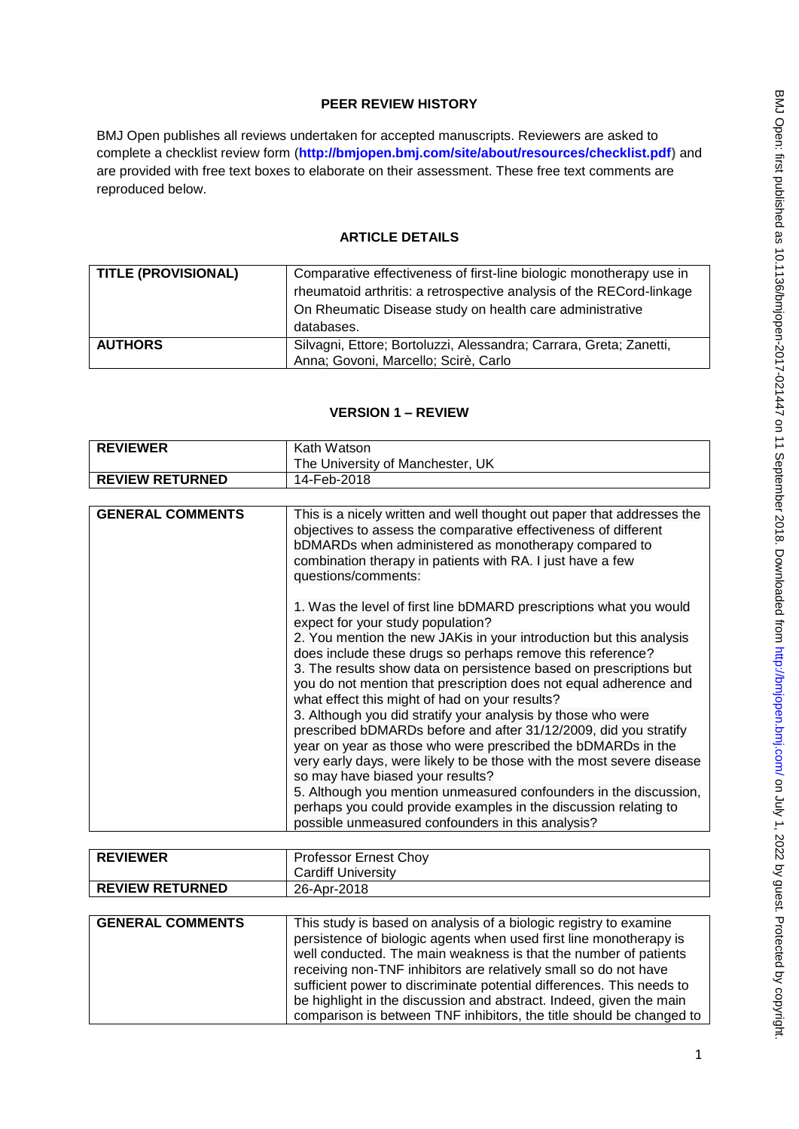# **PEER REVIEW HISTORY**

BMJ Open publishes all reviews undertaken for accepted manuscripts. Reviewers are asked to complete a checklist review form (**[http://bmjopen.bmj.com/site/about/resources/checklist.pdf\)](http://bmjopen.bmj.com/site/about/resources/checklist.pdf)** and are provided with free text boxes to elaborate on their assessment. These free text comments are reproduced below.

### **ARTICLE DETAILS**

| <b>TITLE (PROVISIONAL)</b> | Comparative effectiveness of first-line biologic monotherapy use in  |
|----------------------------|----------------------------------------------------------------------|
|                            | rheumatoid arthritis: a retrospective analysis of the RECord-linkage |
|                            | On Rheumatic Disease study on health care administrative             |
|                            | databases.                                                           |
| <b>AUTHORS</b>             | Silvagni, Ettore; Bortoluzzi, Alessandra; Carrara, Greta; Zanetti,   |
|                            | Anna; Govoni, Marcello; Scirè, Carlo                                 |

| <b>REVIEWER</b>         | Kath Watson                                                                                                                                                                                                                                                                                                                                                                                                                                                                                                                                                                                                                                                                                                                                                                                                                                                                                                                                               |
|-------------------------|-----------------------------------------------------------------------------------------------------------------------------------------------------------------------------------------------------------------------------------------------------------------------------------------------------------------------------------------------------------------------------------------------------------------------------------------------------------------------------------------------------------------------------------------------------------------------------------------------------------------------------------------------------------------------------------------------------------------------------------------------------------------------------------------------------------------------------------------------------------------------------------------------------------------------------------------------------------|
|                         | The University of Manchester, UK                                                                                                                                                                                                                                                                                                                                                                                                                                                                                                                                                                                                                                                                                                                                                                                                                                                                                                                          |
| <b>REVIEW RETURNED</b>  | 14-Feb-2018                                                                                                                                                                                                                                                                                                                                                                                                                                                                                                                                                                                                                                                                                                                                                                                                                                                                                                                                               |
|                         |                                                                                                                                                                                                                                                                                                                                                                                                                                                                                                                                                                                                                                                                                                                                                                                                                                                                                                                                                           |
| <b>GENERAL COMMENTS</b> | This is a nicely written and well thought out paper that addresses the<br>objectives to assess the comparative effectiveness of different<br>bDMARDs when administered as monotherapy compared to<br>combination therapy in patients with RA. I just have a few<br>questions/comments:                                                                                                                                                                                                                                                                                                                                                                                                                                                                                                                                                                                                                                                                    |
|                         | 1. Was the level of first line bDMARD prescriptions what you would<br>expect for your study population?<br>2. You mention the new JAK is in your introduction but this analysis<br>does include these drugs so perhaps remove this reference?<br>3. The results show data on persistence based on prescriptions but<br>you do not mention that prescription does not equal adherence and<br>what effect this might of had on your results?<br>3. Although you did stratify your analysis by those who were<br>prescribed bDMARDs before and after 31/12/2009, did you stratify<br>year on year as those who were prescribed the bDMARDs in the<br>very early days, were likely to be those with the most severe disease<br>so may have biased your results?<br>5. Although you mention unmeasured confounders in the discussion,<br>perhaps you could provide examples in the discussion relating to<br>possible unmeasured confounders in this analysis? |

# **VERSION 1 – REVIEW**

| <b>REVIEWER</b>        | <b>Professor Ernest Choy</b> |
|------------------------|------------------------------|
|                        | <b>Cardiff University</b>    |
| <b>REVIEW RETURNED</b> | 26-Apr-2018                  |
|                        |                              |

| <b>GENERAL COMMENTS</b> | This study is based on analysis of a biologic registry to examine     |
|-------------------------|-----------------------------------------------------------------------|
|                         | persistence of biologic agents when used first line monotherapy is    |
|                         | well conducted. The main weakness is that the number of patients      |
|                         | receiving non-TNF inhibitors are relatively small so do not have      |
|                         | sufficient power to discriminate potential differences. This needs to |
|                         | be highlight in the discussion and abstract. Indeed, given the main   |
|                         | comparison is between TNF inhibitors, the title should be changed to  |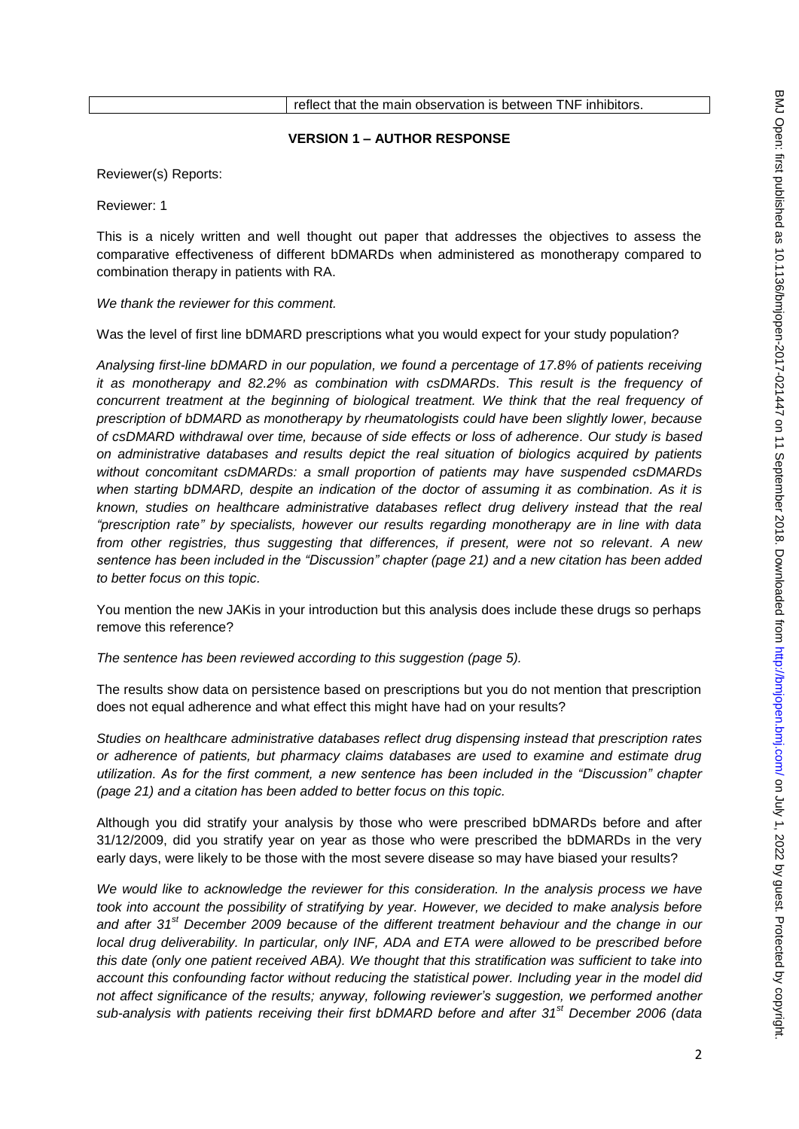# **VERSION 1 – AUTHOR RESPONSE**

Reviewer(s) Reports:

Reviewer: 1

This is a nicely written and well thought out paper that addresses the objectives to assess the comparative effectiveness of different bDMARDs when administered as monotherapy compared to combination therapy in patients with RA.

*We thank the reviewer for this comment.* 

Was the level of first line bDMARD prescriptions what you would expect for your study population?

*Analysing first-line bDMARD in our population, we found a percentage of 17.8% of patients receiving it as monotherapy and 82.2% as combination with csDMARDs. This result is the frequency of concurrent treatment at the beginning of biological treatment. We think that the real frequency of prescription of bDMARD as monotherapy by rheumatologists could have been slightly lower, because of csDMARD withdrawal over time, because of side effects or loss of adherence. Our study is based on administrative databases and results depict the real situation of biologics acquired by patients without concomitant csDMARDs: a small proportion of patients may have suspended csDMARDs when starting bDMARD, despite an indication of the doctor of assuming it as combination. As it is known, studies on healthcare administrative databases reflect drug delivery instead that the real "prescription rate" by specialists, however our results regarding monotherapy are in line with data from other registries, thus suggesting that differences, if present, were not so relevant. A new sentence has been included in the "Discussion" chapter (page 21) and a new citation has been added to better focus on this topic.* 

You mention the new JAKis in your introduction but this analysis does include these drugs so perhaps remove this reference?

*The sentence has been reviewed according to this suggestion (page 5).*

The results show data on persistence based on prescriptions but you do not mention that prescription does not equal adherence and what effect this might have had on your results?

*Studies on healthcare administrative databases reflect drug dispensing instead that prescription rates or adherence of patients, but pharmacy claims databases are used to examine and estimate drug utilization. As for the first comment, a new sentence has been included in the "Discussion" chapter (page 21) and a citation has been added to better focus on this topic.*

Although you did stratify your analysis by those who were prescribed bDMARDs before and after 31/12/2009, did you stratify year on year as those who were prescribed the bDMARDs in the very early days, were likely to be those with the most severe disease so may have biased your results?

*We would like to acknowledge the reviewer for this consideration. In the analysis process we have took into account the possibility of stratifying by year. However, we decided to make analysis before and after 31st December 2009 because of the different treatment behaviour and the change in our local drug deliverability. In particular, only INF, ADA and ETA were allowed to be prescribed before this date (only one patient received ABA). We thought that this stratification was sufficient to take into account this confounding factor without reducing the statistical power. Including year in the model did not affect significance of the results; anyway, following reviewer's suggestion, we performed another sub-analysis with patients receiving their first bDMARD before and after 31st December 2006 (data*